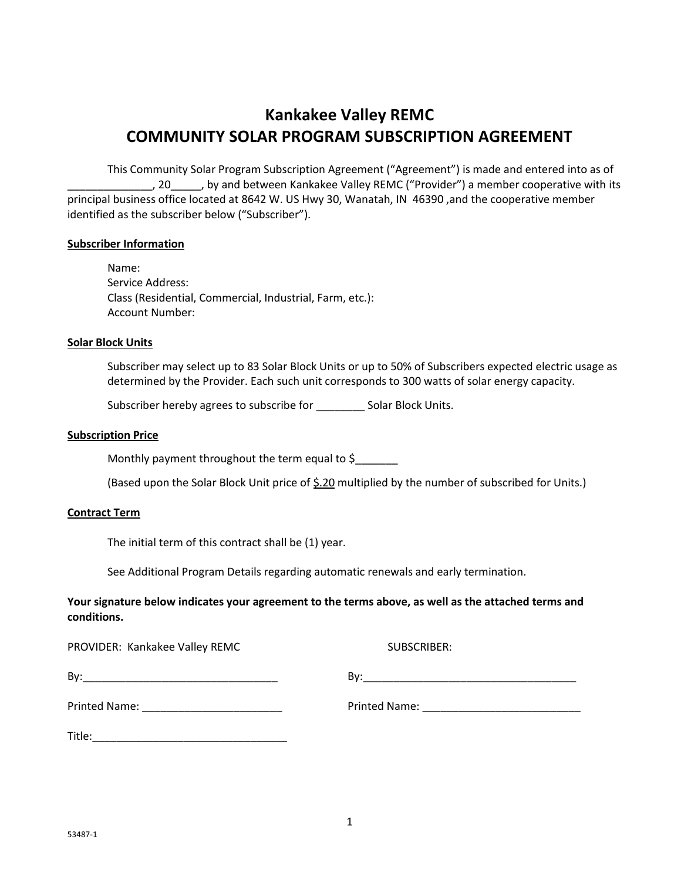# **Kankakee Valley REMC COMMUNITY SOLAR PROGRAM SUBSCRIPTION AGREEMENT**

This Community Solar Program Subscription Agreement ("Agreement") is made and entered into as of \_\_\_\_\_\_\_\_\_\_\_\_\_\_, 20\_\_\_\_\_, by and between Kankakee Valley REMC ("Provider") a member cooperative with its principal business office located at 8642 W. US Hwy 30, Wanatah, IN 46390 ,and the cooperative member identified as the subscriber below ("Subscriber").

## **Subscriber Information**

Name: Service Address: Class (Residential, Commercial, Industrial, Farm, etc.): Account Number:

#### **Solar Block Units**

Subscriber may select up to 83 Solar Block Units or up to 50% of Subscribers expected electric usage as determined by the Provider. Each such unit corresponds to 300 watts of solar energy capacity.

Subscriber hereby agrees to subscribe for \_\_\_\_\_\_\_\_\_\_ Solar Block Units.

#### **Subscription Price**

Monthly payment throughout the term equal to  $\zeta$ 

(Based upon the Solar Block Unit price of \$.20 multiplied by the number of subscribed for Units.)

#### **Contract Term**

The initial term of this contract shall be (1) year.

See Additional Program Details regarding automatic renewals and early termination.

# **Your signature below indicates your agreement to the terms above, as well as the attached terms and conditions.**

| PROVIDER: Kankakee Valley REMC                                                                                                | SUBSCRIBER: |
|-------------------------------------------------------------------------------------------------------------------------------|-------------|
| By:<br><u> 1989 - Johann John Stone, mars et al. 1989 - John Stone, mars et al. 1989 - John Stone, mars et al. 1989 - Joh</u> |             |
| Printed Name: _____________________________                                                                                   |             |
| Title:                                                                                                                        |             |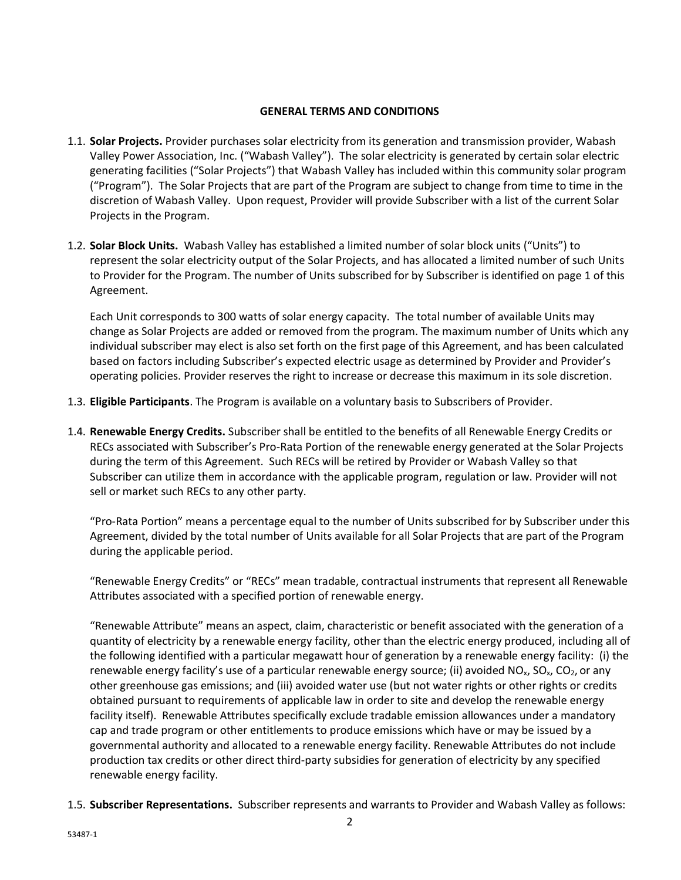# **GENERAL TERMS AND CONDITIONS**

- 1.1. **Solar Projects.** Provider purchases solar electricity from its generation and transmission provider, Wabash Valley Power Association, Inc. ("Wabash Valley"). The solar electricity is generated by certain solar electric generating facilities ("Solar Projects") that Wabash Valley has included within this community solar program ("Program"). The Solar Projects that are part of the Program are subject to change from time to time in the discretion of Wabash Valley. Upon request, Provider will provide Subscriber with a list of the current Solar Projects in the Program.
- 1.2. **Solar Block Units.** Wabash Valley has established a limited number of solar block units ("Units") to represent the solar electricity output of the Solar Projects, and has allocated a limited number of such Units to Provider for the Program. The number of Units subscribed for by Subscriber is identified on page 1 of this Agreement.

Each Unit corresponds to 300 watts of solar energy capacity. The total number of available Units may change as Solar Projects are added or removed from the program. The maximum number of Units which any individual subscriber may elect is also set forth on the first page of this Agreement, and has been calculated based on factors including Subscriber's expected electric usage as determined by Provider and Provider's operating policies. Provider reserves the right to increase or decrease this maximum in its sole discretion.

- 1.3. **Eligible Participants**. The Program is available on a voluntary basis to Subscribers of Provider.
- 1.4. **Renewable Energy Credits.** Subscriber shall be entitled to the benefits of all Renewable Energy Credits or RECs associated with Subscriber's Pro-Rata Portion of the renewable energy generated at the Solar Projects during the term of this Agreement. Such RECs will be retired by Provider or Wabash Valley so that Subscriber can utilize them in accordance with the applicable program, regulation or law. Provider will not sell or market such RECs to any other party.

"Pro-Rata Portion" means a percentage equal to the number of Units subscribed for by Subscriber under this Agreement, divided by the total number of Units available for all Solar Projects that are part of the Program during the applicable period.

"Renewable Energy Credits" or "RECs" mean tradable, contractual instruments that represent all Renewable Attributes associated with a specified portion of renewable energy.

"Renewable Attribute" means an aspect, claim, characteristic or benefit associated with the generation of a quantity of electricity by a renewable energy facility, other than the electric energy produced, including all of the following identified with a particular megawatt hour of generation by a renewable energy facility: (i) the renewable energy facility's use of a particular renewable energy source; (ii) avoided  $NO<sub>x</sub>$ ,  $SO<sub>x</sub>$ ,  $CO<sub>2</sub>$ , or any other greenhouse gas emissions; and (iii) avoided water use (but not water rights or other rights or credits obtained pursuant to requirements of applicable law in order to site and develop the renewable energy facility itself). Renewable Attributes specifically exclude tradable emission allowances under a mandatory cap and trade program or other entitlements to produce emissions which have or may be issued by a governmental authority and allocated to a renewable energy facility. Renewable Attributes do not include production tax credits or other direct third-party subsidies for generation of electricity by any specified renewable energy facility.

1.5. **Subscriber Representations.** Subscriber represents and warrants to Provider and Wabash Valley as follows: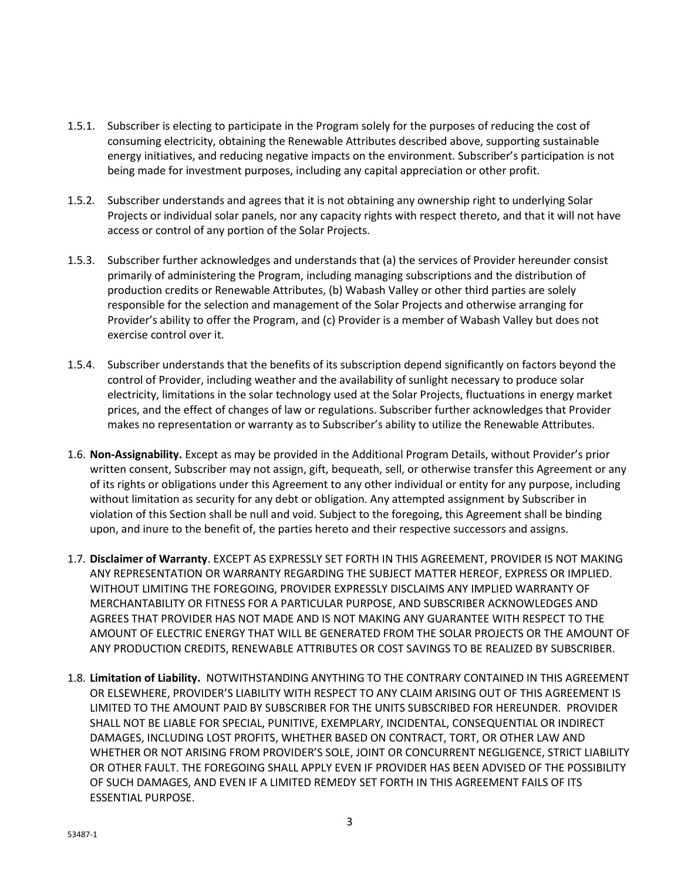- 1.5.1. Subscriber is electing to participate in the Program solely for the purposes of reducing the cost of consuming electricity, obtaining the Renewable Attributes described above, supporting sustainable energy initiatives, and reducing negative impacts on the environment. Subscriber's participation is not being made for investment purposes, including any capital appreciation or other profit.
- 1.5.2. Subscriber understands and agrees that it is not obtaining any ownership right to underlying Solar Projects or individual solar panels, nor any capacity rights with respect thereto, and that it will not have access or control of any portion of the Solar Projects.
- 1.5.3. Subscriber further acknowledges and understands that (a) the services of Provider hereunder consist primarily of administering the Program, including managing subscriptions and the distribution of production credits or Renewable Attributes, (b) Wabash Valley or other third parties are solely responsible for the selection and management of the Solar Projects and otherwise arranging for Provider's ability to offer the Program, and (c) Provider is a member of Wabash Valley but does not exercise control over it.
- 1.5.4. Subscriber understands that the benefits of its subscription depend significantly on factors beyond the control of Provider, including weather and the availability of sunlight necessary to produce solar electricity, limitations in the solar technology used at the Solar Projects, fluctuations in energy market prices, and the effect of changes of law or regulations. Subscriber further acknowledges that Provider makes no representation or warranty as to Subscriber's ability to utilize the Renewable Attributes.
- 1.6. **Non-Assignability.** Except as may be provided in the Additional Program Details, without Provider's prior written consent, Subscriber may not assign, gift, bequeath, sell, or otherwise transfer this Agreement or any of its rights or obligations under this Agreement to any other individual or entity for any purpose, including without limitation as security for any debt or obligation. Any attempted assignment by Subscriber in violation of this Section shall be null and void. Subject to the foregoing, this Agreement shall be binding upon, and inure to the benefit of, the parties hereto and their respective successors and assigns.
- 1.7. **Disclaimer of Warranty**. EXCEPT AS EXPRESSLY SET FORTH IN THIS AGREEMENT, PROVIDER IS NOT MAKING ANY REPRESENTATION OR WARRANTY REGARDING THE SUBJECT MATTER HEREOF, EXPRESS OR IMPLIED. WITHOUT LIMITING THE FOREGOING, PROVIDER EXPRESSLY DISCLAIMS ANY IMPLIED WARRANTY OF MERCHANTABILITY OR FITNESS FOR A PARTICULAR PURPOSE, AND SUBSCRIBER ACKNOWLEDGES AND AGREES THAT PROVIDER HAS NOT MADE AND IS NOT MAKING ANY GUARANTEE WITH RESPECT TO THE AMOUNT OF ELECTRIC ENERGY THAT WILL BE GENERATED FROM THE SOLAR PROJECTS OR THE AMOUNT OF ANY PRODUCTION CREDITS, RENEWABLE ATTRIBUTES OR COST SAVINGS TO BE REALIZED BY SUBSCRIBER.
- 1.8. **Limitation of Liability.** NOTWITHSTANDING ANYTHING TO THE CONTRARY CONTAINED IN THIS AGREEMENT OR ELSEWHERE, PROVIDER'S LIABILITY WITH RESPECT TO ANY CLAIM ARISING OUT OF THIS AGREEMENT IS LIMITED TO THE AMOUNT PAID BY SUBSCRIBER FOR THE UNITS SUBSCRIBED FOR HEREUNDER. PROVIDER SHALL NOT BE LIABLE FOR SPECIAL, PUNITIVE, EXEMPLARY, INCIDENTAL, CONSEQUENTIAL OR INDIRECT DAMAGES, INCLUDING LOST PROFITS, WHETHER BASED ON CONTRACT, TORT, OR OTHER LAW AND WHETHER OR NOT ARISING FROM PROVIDER'S SOLE, JOINT OR CONCURRENT NEGLIGENCE, STRICT LIABILITY OR OTHER FAULT. THE FOREGOING SHALL APPLY EVEN IF PROVIDER HAS BEEN ADVISED OF THE POSSIBILITY OF SUCH DAMAGES, AND EVEN IF A LIMITED REMEDY SET FORTH IN THIS AGREEMENT FAILS OF ITS ESSENTIAL PURPOSE.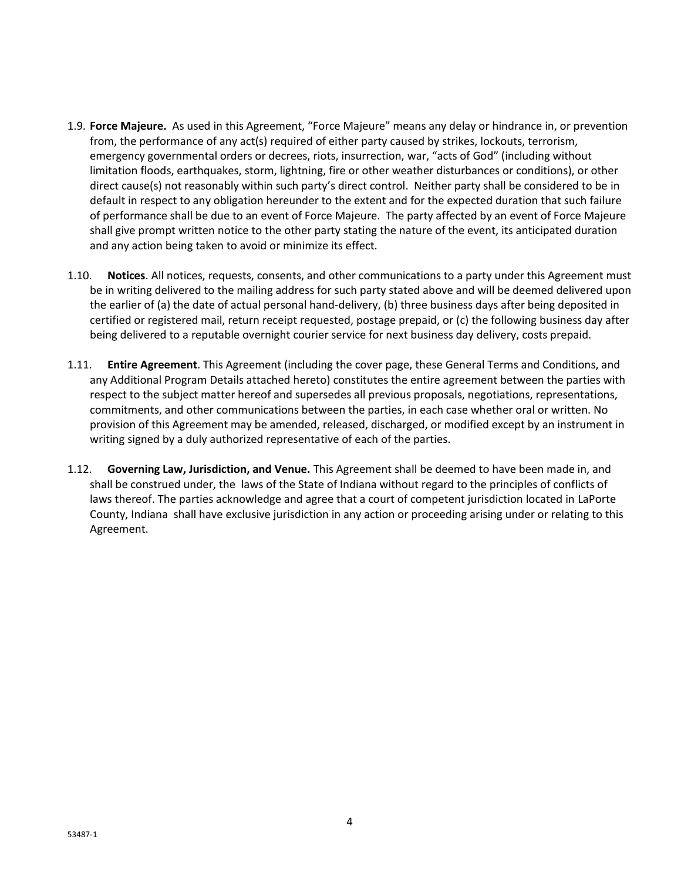- 1.9. **Force Majeure.** As used in this Agreement, "Force Majeure" means any delay or hindrance in, or prevention from, the performance of any act(s) required of either party caused by strikes, lockouts, terrorism, emergency governmental orders or decrees, riots, insurrection, war, "acts of God" (including without limitation floods, earthquakes, storm, lightning, fire or other weather disturbances or conditions), or other direct cause(s) not reasonably within such party's direct control. Neither party shall be considered to be in default in respect to any obligation hereunder to the extent and for the expected duration that such failure of performance shall be due to an event of Force Majeure. The party affected by an event of Force Majeure shall give prompt written notice to the other party stating the nature of the event, its anticipated duration and any action being taken to avoid or minimize its effect.
- 1.10. **Notices**. All notices, requests, consents, and other communications to a party under this Agreement must be in writing delivered to the mailing address for such party stated above and will be deemed delivered upon the earlier of (a) the date of actual personal hand-delivery, (b) three business days after being deposited in certified or registered mail, return receipt requested, postage prepaid, or (c) the following business day after being delivered to a reputable overnight courier service for next business day delivery, costs prepaid.
- 1.11. **Entire Agreement**. This Agreement (including the cover page, these General Terms and Conditions, and any Additional Program Details attached hereto) constitutes the entire agreement between the parties with respect to the subject matter hereof and supersedes all previous proposals, negotiations, representations, commitments, and other communications between the parties, in each case whether oral or written. No provision of this Agreement may be amended, released, discharged, or modified except by an instrument in writing signed by a duly authorized representative of each of the parties.
- 1.12. **Governing Law, Jurisdiction, and Venue.** This Agreement shall be deemed to have been made in, and shall be construed under, the laws of the State of Indiana without regard to the principles of conflicts of laws thereof. The parties acknowledge and agree that a court of competent jurisdiction located in LaPorte County, Indiana shall have exclusive jurisdiction in any action or proceeding arising under or relating to this Agreement.